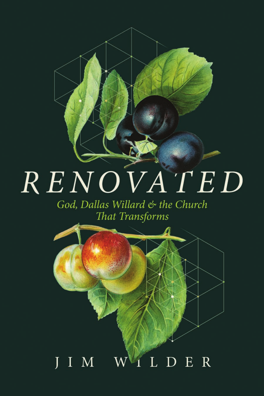God, Dallas Willard & the Church **That Transforms** 

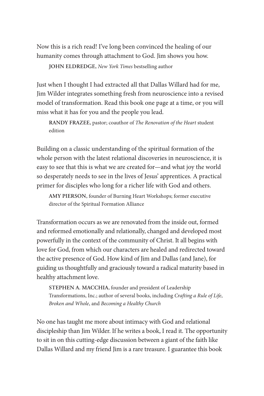Now this is a rich read! I've long been convinced the healing of our humanity comes through attachment to God. Jim shows you how.

**JOHN ELDREDGE,** *New York Times* bestselling author

Just when I thought I had extracted all that Dallas Willard had for me, Jim Wilder integrates something fresh from neuroscience into a revised model of transformation. Read this book one page at a time, or you will miss what it has for you and the people you lead.

**RANDY FRAZEE,** pastor; coauthor of *The Renovation of the Heart* student edition

Building on a classic understanding of the spiritual formation of the whole person with the latest relational discoveries in neuroscience, it is easy to see that this is what we are created for—and what joy the world so desperately needs to see in the lives of Jesus' apprentices. A practical primer for disciples who long for a richer life with God and others.

**AMY PIERSON,** founder of Burning Heart Workshops; former executive director of the Spiritual Formation Alliance

Transformation occurs as we are renovated from the inside out, formed and reformed emotionally and relationally, changed and developed most powerfully in the context of the community of Christ. It all begins with love for God, from which our characters are healed and redirected toward the active presence of God. How kind of Jim and Dallas (and Jane), for guiding us thoughtfully and graciously toward a radical maturity based in healthy attachment love.

**STEPHEN A. MACCHIA,** founder and president of Leadership Transformations, Inc.; author of several books, including *Crafting a Rule of Life*, *Broken and Whole*, and *Becoming a Healthy Church*

No one has taught me more about intimacy with God and relational discipleship than Jim Wilder. If he writes a book, I read it. The opportunity to sit in on this cutting-edge discussion between a giant of the faith like Dallas Willard and my friend Jim is a rare treasure. I guarantee this book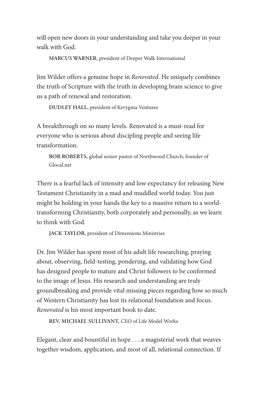will open new doors in your understanding and take you deeper in your walk with God.

**MARCUS WARNER,** president of Deeper Walk International

Jim Wilder offers a genuine hope in *Renovated*. He uniquely combines the truth of Scripture with the truth in developing brain science to give us a path of renewal and restoration.

**DUDLEY HALL,** president of Kerygma Ventures

A breakthrough on so many levels. Renovated is a must-read for everyone who is serious about discipling people and seeing life transformation.

**BOB ROBERTS,** global senior pastor of Northwood Church; founder of Glocal.net

There is a fearful lack of intensity and low expectancy for releasing New Testament Christianity in a mad and muddled world today. You just might be holding in your hands the key to a massive return to a worldtransforming Christianity, both corporately and personally, as we learn to think with God.

**JACK TAYLOR,** president of Dimensions Ministries

Dr. Jim Wilder has spent most of his adult life researching, praying about, observing, field-testing, pondering, and validating how God has designed people to mature and Christ followers to be conformed to the image of Jesus. His research and understanding are truly groundbreaking and provide vital missing pieces regarding how so much of Western Christianity has lost its relational foundation and focus. *Renovated* is his most important book to date.

**REV. MICHAEL SULLIVANT,** CEO of Life Model Works

Elegant, clear and bountiful in hope . . . a magisterial work that weaves together wisdom, application, and most of all, relational connection. If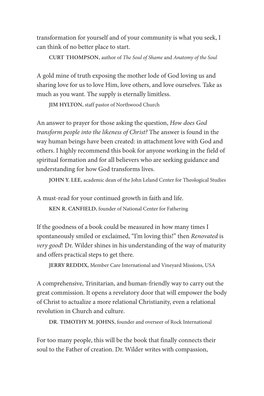transformation for yourself and of your community is what you seek, I can think of no better place to start.

**CURT THOMPSON,** author of *The Soul of Shame* and *Anatomy of the Soul*

A gold mine of truth exposing the mother lode of God loving us and sharing love for us to love Him, love others, and love ourselves. Take as much as you want. The supply is eternally limitless.

**JIM HYLTON,** staff pastor of Northwood Church

An answer to prayer for those asking the question, *How does God transform people into the likeness of Christ?* The answer is found in the way human beings have been created: in attachment love with God and others. I highly recommend this book for anyone working in the field of spiritual formation and for all believers who are seeking guidance and understanding for how God transforms lives.

**JOHN Y. LEE,** academic dean of the John Leland Center for Theological Studies

A must-read for your continued growth in faith and life.

**KEN R. CANFIELD,** founder of National Center for Fathering

If the goodness of a book could be measured in how many times I spontaneously smiled or exclaimed, "I'm loving this!" then *Renovated* is *very good*! Dr. Wilder shines in his understanding of the way of maturity and offers practical steps to get there.

**JERRY REDDIX,** Member Care International and Vineyard Missions, USA

A comprehensive, Trinitarian, and human-friendly way to carry out the great commission. It opens a revelatory door that will empower the body of Christ to actualize a more relational Christianity, even a relational revolution in Church and culture.

**DR. TIMOTHY M. JOHNS,** founder and overseer of Rock International

For too many people, this will be the book that finally connects their soul to the Father of creation. Dr. Wilder writes with compassion,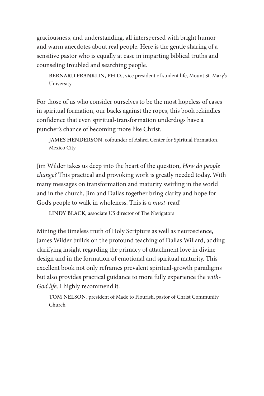graciousness, and understanding, all interspersed with bright humor and warm anecdotes about real people. Here is the gentle sharing of a sensitive pastor who is equally at ease in imparting biblical truths and counseling troubled and searching people.

**BERNARD FRANKLIN, PH.D.,** vice president of student life, Mount St. Mary's University

For those of us who consider ourselves to be the most hopeless of cases in spiritual formation, our backs against the ropes, this book rekindles confidence that even spiritual-transformation underdogs have a puncher's chance of becoming more like Christ.

**JAMES HENDERSON,** cofounder of Ashrei Center for Spiritual Formation, Mexico City

Jim Wilder takes us deep into the heart of the question, *How do people change?* This practical and provoking work is greatly needed today. With many messages on transformation and maturity swirling in the world and in the church, Jim and Dallas together bring clarity and hope for God's people to walk in wholeness. This is a *must*-read!

**LINDY BLACK,** associate US director of The Navigators

Mining the timeless truth of Holy Scripture as well as neuroscience, James Wilder builds on the profound teaching of Dallas Willard, adding clarifying insight regarding the primacy of attachment love in divine design and in the formation of emotional and spiritual maturity. This excellent book not only reframes prevalent spiritual-growth paradigms but also provides practical guidance to more fully experience the *with-God life*. I highly recommend it.

**TOM NELSON,** president of Made to Flourish, pastor of Christ Community Church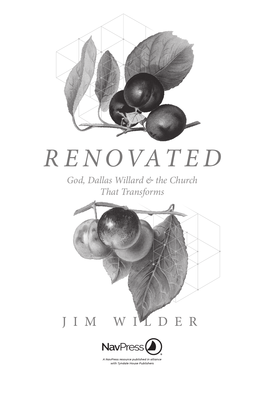

# *R E NOVAT ED*

*God, Dallas Willard & the Church That Transforms*





A NavPress resource published in alliance with Tyndale House Publishers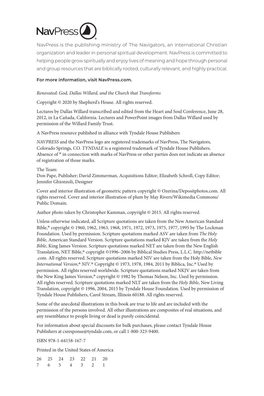

NavPress is the publishing ministry of The Navigators, an international Christian organization and leader in personal spiritual development. NavPress is committed to helping people grow spiritually and enjoy lives of meaning and hope through personal and group resources that are biblically rooted, culturally relevant, and highly practical.

## **For more information, visit NavPress.com.**

#### *Renovated: God, Dallas Willard, and the Church that Transforms*

Copyright © 2020 by Shepherd's House. All rights reserved.

Lectures by Dallas Willard transcribed and edited from the Heart and Soul Conference, June 28, 2012, in La Cañada, California. Lectures and PowerPoint images from Dallas Willard used by permission of the Willard Family Trust.

A NavPress resource published in alliance with Tyndale House Publishers

*NAVPRESS* and the NavPress logo are registered trademarks of NavPress, The Navigators, Colorado Springs, CO. *TYNDALE* is a registered trademark of Tyndale House Publishers. Absence of ® in connection with marks of NavPress or other parties does not indicate an absence of registration of those marks.

The Team:

Don Pape, Publisher; David Zimmerman, Acquisitions Editor; Elizabeth Schroll, Copy Editor; Jennifer Ghionzoli, Designer

Cover and interior illustration of geometric pattern copyright © Ozerina/Depositphotos.com. All rights reserved. Cover and interior illustration of plum by May Rivers/Wikimedia Commons/ Public Domain.

Author photo taken by Christopher Kamman, copyright © 2015. All rights reserved.

Unless otherwise indicated, all Scripture quotations are taken from the New American Standard Bible,® copyright © 1960, 1962, 1963, 1968, 1971, 1972, 1973, 1975, 1977, 1995 by The Lockman Foundation. Used by permission. Scripture quotations marked ASV are taken from *The Holy Bible*, American Standard Version. Scripture quotations marked KJV are taken from the *Holy Bible*, King James Version. Scripture quotations marked NET are taken from the New English Translation, NET Bible,® copyright ©1996–2006 by Biblical Studies Press, L.L.C. http://netbible .com. All rights reserved. Scripture quotations marked NIV are taken from the Holy Bible, *New International Version*, ® *NIV*. ® Copyright © 1973, 1978, 1984, 2011 by Biblica, Inc.® Used by permission. All rights reserved worldwide. Scripture quotations marked NKJV are taken from the New King James Version,® copyright © 1982 by Thomas Nelson, Inc. Used by permission. All rights reserved. Scripture quotations marked NLT are taken from the *Holy Bible*, New Living Translation, copyright © 1996, 2004, 2015 by Tyndale House Foundation. Used by permission of Tyndale House Publishers, Carol Stream, Illinois 60188. All rights reserved.

Some of the anecdotal illustrations in this book are true to life and are included with the permission of the persons involved. All other illustrations are composites of real situations, and any resemblance to people living or dead is purely coincidental.

For information about special discounts for bulk purchases, please contact Tyndale House Publishers at csresponse@tyndale.com, or call 1-800-323-9400.

ISBN 978-1-64158-167-7

Printed in the United States of America

26 25 24 23 22 21 20 7 6 5 4 3 2 1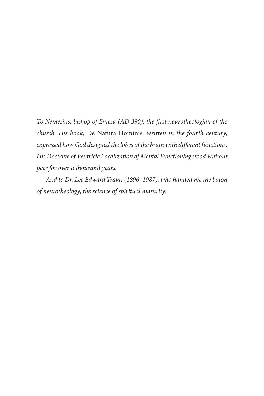*To Nemesius, bishop of Emesa (AD 390), the first neurotheologian of the church. His book,* De Natura Hominis*, written in the fourth century, expressed how God designed the lobes of the brain with different functions. His Doctrine of Ventricle Localization of Mental Functioning stood without peer for over a thousand years.*

*And to Dr. Lee Edward Travis (1896–1987), who handed me the baton of neurotheology, the science of spiritual maturity.*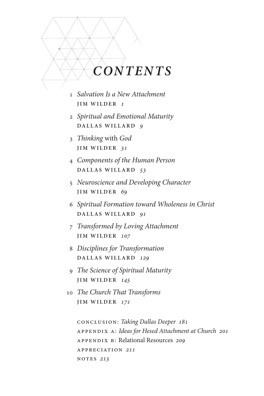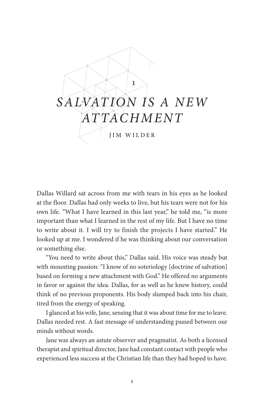<span id="page-11-0"></span>

Dallas Willard sat across from me with tears in his eyes as he looked at the floor. Dallas had only weeks to live, but his tears were not for his own life. "What I have learned in this last year," he told me, "is more important than what I learned in the rest of my life. But I have no time to write about it. I will try to finish the projects I have started." He looked up at me. I wondered if he was thinking about our conversation or something else.

"You need to write about this," Dallas said. His voice was steady but with mounting passion: "I know of no soteriology [doctrine of salvation] based on forming a new attachment with God." He offered no arguments in favor or against the idea. Dallas, for as well as he knew history, could think of no previous proponents. His body slumped back into his chair, tired from the energy of speaking.

I glanced at his wife, Jane, sensing that it was about time for me to leave. Dallas needed rest. A fast message of understanding passed between our minds without words.

Jane was always an astute observer and pragmatist. As both a licensed therapist and spiritual director, Jane had constant contact with people who experienced less success at the Christian life than they had hoped to have.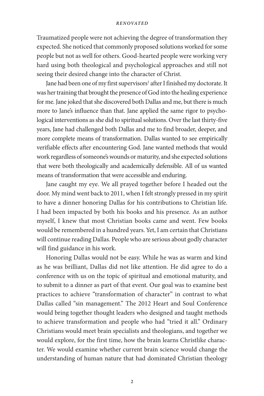Traumatized people were not achieving the degree of transformation they expected. She noticed that commonly proposed solutions worked for some people but not as well for others. Good-hearted people were working very hard using both theological and psychological approaches and still not seeing their desired change into the character of Christ.

Jane had been one of my first supervisors<sup>1</sup> after I finished my doctorate. It was her training that brought the presence of God into the healing experience for me. Jane joked that she discovered both Dallas and me, but there is much more to Jane's influence than that. Jane applied the same rigor to psychological interventions as she did to spiritual solutions. Over the last thirty-five years, Jane had challenged both Dallas and me to find broader, deeper, and more complete means of transformation. Dallas wanted to see empirically verifiable effects after encountering God. Jane wanted methods that would work regardless of someone's wounds or maturity, and she expected solutions that were both theologically and academically defensible. All of us wanted means of transformation that were accessible and enduring.

Jane caught my eye. We all prayed together before I headed out the door. My mind went back to 2011, when I felt strongly pressed in my spirit to have a dinner honoring Dallas for his contributions to Christian life. I had been impacted by both his books and his presence. As an author myself, I knew that most Christian books came and went. Few books would be remembered in a hundred years. Yet, I am certain that Christians will continue reading Dallas. People who are serious about godly character will find guidance in his work.

Honoring Dallas would not be easy. While he was as warm and kind as he was brilliant, Dallas did not like attention. He did agree to do a conference with us on the topic of spiritual and emotional maturity, and to submit to a dinner as part of that event. Our goal was to examine best practices to achieve "transformation of character" in contrast to what Dallas called "sin management." The 2012 Heart and Soul Conference would bring together thought leaders who designed and taught methods to achieve transformation and people who had "tried it all." Ordinary Christians would meet brain specialists and theologians, and together we would explore, for the first time, how the brain learns Christlike character. We would examine whether current brain science would change the understanding of human nature that had dominated Christian theology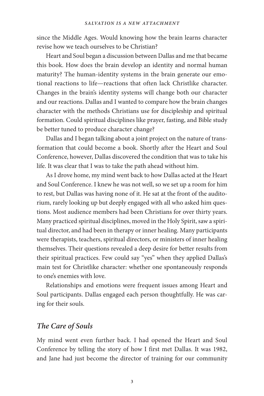since the Middle Ages. Would knowing how the brain learns character revise how we teach ourselves to be Christian?

Heart and Soul began a discussion between Dallas and me that became this book. How does the brain develop an identity and normal human maturity? The human-identity systems in the brain generate our emotional reactions to life—reactions that often lack Christlike character. Changes in the brain's identity systems will change both our character and our reactions. Dallas and I wanted to compare how the brain changes character with the methods Christians use for discipleship and spiritual formation. Could spiritual disciplines like prayer, fasting, and Bible study be better tuned to produce character change?

Dallas and I began talking about a joint project on the nature of transformation that could become a book. Shortly after the Heart and Soul Conference, however, Dallas discovered the condition that was to take his life. It was clear that I was to take the path ahead without him.

As I drove home, my mind went back to how Dallas acted at the Heart and Soul Conference. I knew he was not well, so we set up a room for him to rest, but Dallas was having none of it. He sat at the front of the auditorium, rarely looking up but deeply engaged with all who asked him questions. Most audience members had been Christians for over thirty years. Many practiced spiritual disciplines, moved in the Holy Spirit, saw a spiritual director, and had been in therapy or inner healing. Many participants were therapists, teachers, spiritual directors, or ministers of inner healing themselves. Their questions revealed a deep desire for better results from their spiritual practices. Few could say "yes" when they applied Dallas's main test for Christlike character: whether one spontaneously responds to one's enemies with love.

Relationships and emotions were frequent issues among Heart and Soul participants. Dallas engaged each person thoughtfully. He was caring for their souls.

# *The Care of Souls*

My mind went even further back. I had opened the Heart and Soul Conference by telling the story of how I first met Dallas. It was 1982, and Jane had just become the director of training for our community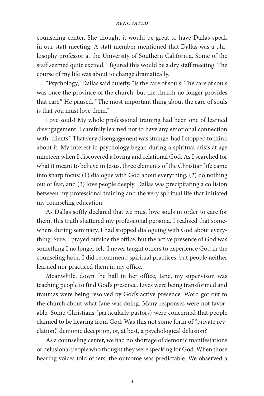counseling center. She thought it would be great to have Dallas speak in our staff meeting. A staff member mentioned that Dallas was a philosophy professor at the University of Southern California. Some of the staff seemed quite excited. I figured this would be a dry staff meeting. The course of my life was about to change dramatically.

"Psychology," Dallas said quietly, "is the care of souls. The care of souls was once the province of the church, but the church no longer provides that care." He paused. "The most important thing about the care of souls is that you must love them."

Love souls! My whole professional training had been one of learned disengagement. I carefully learned not to have any emotional connection with "clients." That very disengagement was strange, had I stopped to think about it. My interest in psychology began during a spiritual crisis at age nineteen when I discovered a loving and relational God. As I searched for what it meant to believe in Jesus, three elements of the Christian life came into sharp focus: (1) dialogue with God about everything, (2) do nothing out of fear, and (3) love people deeply. Dallas was precipitating a collision between my professional training and the very spiritual life that initiated my counseling education.

As Dallas softly declared that we must love souls in order to care for them, this truth shattered my professional persona. I realized that somewhere during seminary, I had stopped dialoguing with God about everything. Sure, I prayed outside the office, but the active presence of God was something I no longer felt. I never taught others to experience God in the counseling hour. I did recommend spiritual practices, but people neither learned nor practiced them in my office.

Meanwhile, down the hall in her office, Jane, my supervisor, was teaching people to find God's presence. Lives were being transformed and traumas were being resolved by God's active presence. Word got out to the church about what Jane was doing. Many responses were not favorable. Some Christians (particularly pastors) were concerned that people claimed to be hearing from God. Was this not some form of "private revelation," demonic deception, or, at best, a psychological delusion?

As a counseling center, we had no shortage of demonic manifestations or delusional people who thought they were speaking for God. When those hearing voices told others, the outcome was predictable. We observed a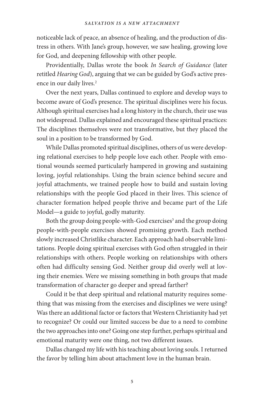noticeable lack of peace, an absence of healing, and the production of distress in others. With Jane's group, however, we saw healing, growing love for God, and deepening fellowship with other people.

Providentially, Dallas wrote the book *In Search of Guidance* (later retitled *Hearing God*), arguing that we can be guided by God's active presence in our daily lives.<sup>2</sup>

Over the next years, Dallas continued to explore and develop ways to become aware of God's presence. The spiritual disciplines were his focus. Although spiritual exercises had a long history in the church, their use was not widespread. Dallas explained and encouraged these spiritual practices: The disciplines themselves were not transformative, but they placed the soul in a position to be transformed by God.

While Dallas promoted spiritual disciplines, others of us were developing relational exercises to help people love each other. People with emotional wounds seemed particularly hampered in growing and sustaining loving, joyful relationships. Using the brain science behind secure and joyful attachments, we trained people how to build and sustain loving relationships with the people God placed in their lives. This science of character formation helped people thrive and became part of the Life Model—a guide to joyful, godly maturity.

Both the group doing people-with-God exercises<sup>3</sup> and the group doing people-with-people exercises showed promising growth. Each method slowly increased Christlike character. Each approach had observable limitations. People doing spiritual exercises with God often struggled in their relationships with others. People working on relationships with others often had difficulty sensing God. Neither group did overly well at loving their enemies. Were we missing something in both groups that made transformation of character go deeper and spread farther?

Could it be that deep spiritual and relational maturity requires something that was missing from the exercises and disciplines we were using? Was there an additional factor or factors that Western Christianity had yet to recognize? Or could our limited success be due to a need to combine the two approaches into one? Going one step further, perhaps spiritual and emotional maturity were one thing, not two different issues.

Dallas changed my life with his teaching about loving souls. I returned the favor by telling him about attachment love in the human brain.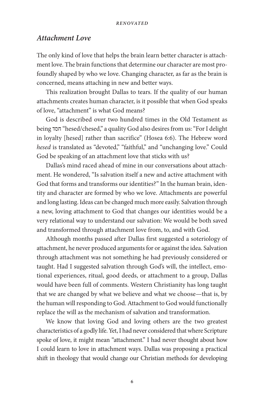# *Attachment Love*

The only kind of love that helps the brain learn better character is attachment love. The brain functions that determine our character are most profoundly shaped by who we love. Changing character, as far as the brain is concerned, means attaching in new and better ways.

This realization brought Dallas to tears. If the quality of our human attachments creates human character, is it possible that when God speaks of love, "attachment" is what God means?

God is described over two hundred times in the Old Testament as being חסד" hesed/chesed," a quality God also desires from us: "For I delight in loyalty [hesed] rather than sacrifice" (Hosea 6:6). The Hebrew word *hesed* is translated as "devoted," "faithful," and "unchanging love." Could God be speaking of an attachment love that sticks with us?

Dallas's mind raced ahead of mine in our conversations about attachment. He wondered, "Is salvation itself a new and active attachment with God that forms and transforms our identities?" In the human brain, identity and character are formed by who we love. Attachments are powerful and long lasting. Ideas can be changed much more easily. Salvation through a new, loving attachment to God that changes our identities would be a very relational way to understand our salvation: We would be both saved and transformed through attachment love from, to, and with God.

Although months passed after Dallas first suggested a soteriology of attachment, he never produced arguments for or against the idea. Salvation through attachment was not something he had previously considered or taught. Had I suggested salvation through God's will, the intellect, emotional experiences, ritual, good deeds, or attachment to a group, Dallas would have been full of comments. Western Christianity has long taught that we are changed by what we believe and what we choose—that is, by the human will responding to God. Attachment to God would functionally replace the will as the mechanism of salvation and transformation.

We know that loving God and loving others are the two greatest characteristics of a godly life. Yet, I had never considered that where Scripture spoke of love, it might mean "attachment." I had never thought about how I could learn to love in attachment ways. Dallas was proposing a practical shift in theology that would change our Christian methods for developing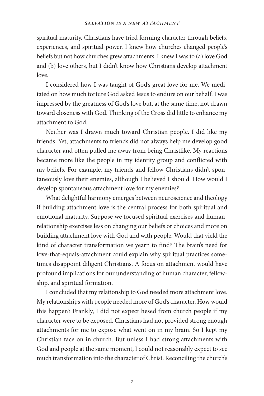spiritual maturity. Christians have tried forming character through beliefs, experiences, and spiritual power. I knew how churches changed people's beliefs but not how churches grew attachments. I knew I was to (a) love God and (b) love others, but I didn't know how Christians develop attachment  $\log$ 

I considered how I was taught of God's great love for me. We meditated on how much torture God asked Jesus to endure on our behalf. I was impressed by the greatness of God's love but, at the same time, not drawn toward closeness with God. Thinking of the Cross did little to enhance my attachment to God.

Neither was I drawn much toward Christian people. I did like my friends. Yet, attachments to friends did not always help me develop good character and often pulled me away from being Christlike. My reactions became more like the people in my identity group and conflicted with my beliefs. For example, my friends and fellow Christians didn't spontaneously love their enemies, although I believed I should. How would I develop spontaneous attachment love for my enemies?

What delightful harmony emerges between neuroscience and theology if building attachment love is the central process for both spiritual and emotional maturity. Suppose we focused spiritual exercises and humanrelationship exercises less on changing our beliefs or choices and more on building attachment love with God and with people. Would that yield the kind of character transformation we yearn to find? The brain's need for love-that-equals-attachment could explain why spiritual practices sometimes disappoint diligent Christians. A focus on attachment would have profound implications for our understanding of human character, fellowship, and spiritual formation.

I concluded that my relationship to God needed more attachment love. My relationships with people needed more of God's character. How would this happen? Frankly, I did not expect hesed from church people if my character were to be exposed. Christians had not provided strong enough attachments for me to expose what went on in my brain. So I kept my Christian face on in church. But unless I had strong attachments with God and people at the same moment, I could not reasonably expect to see much transformation into the character of Christ. Reconciling the church's